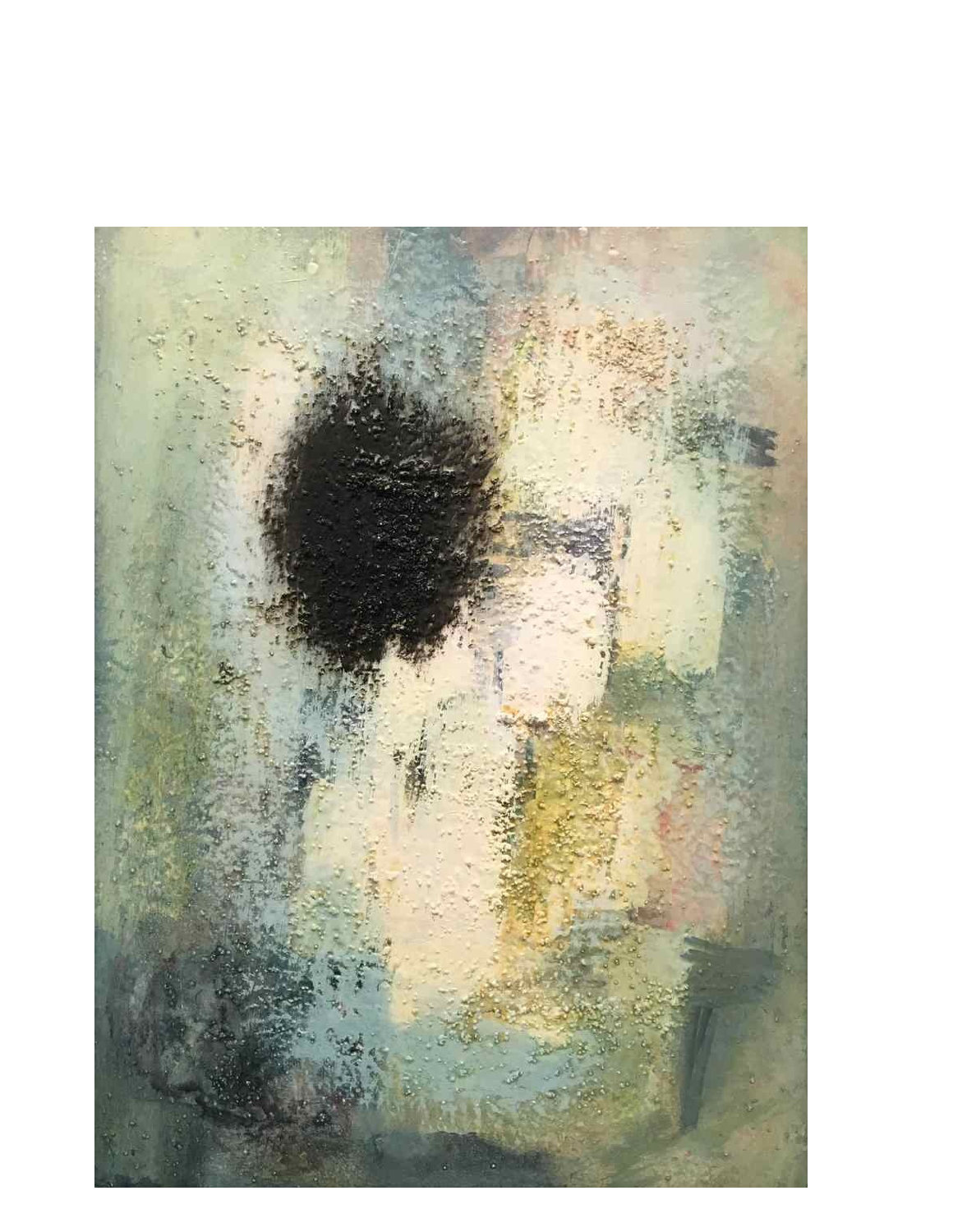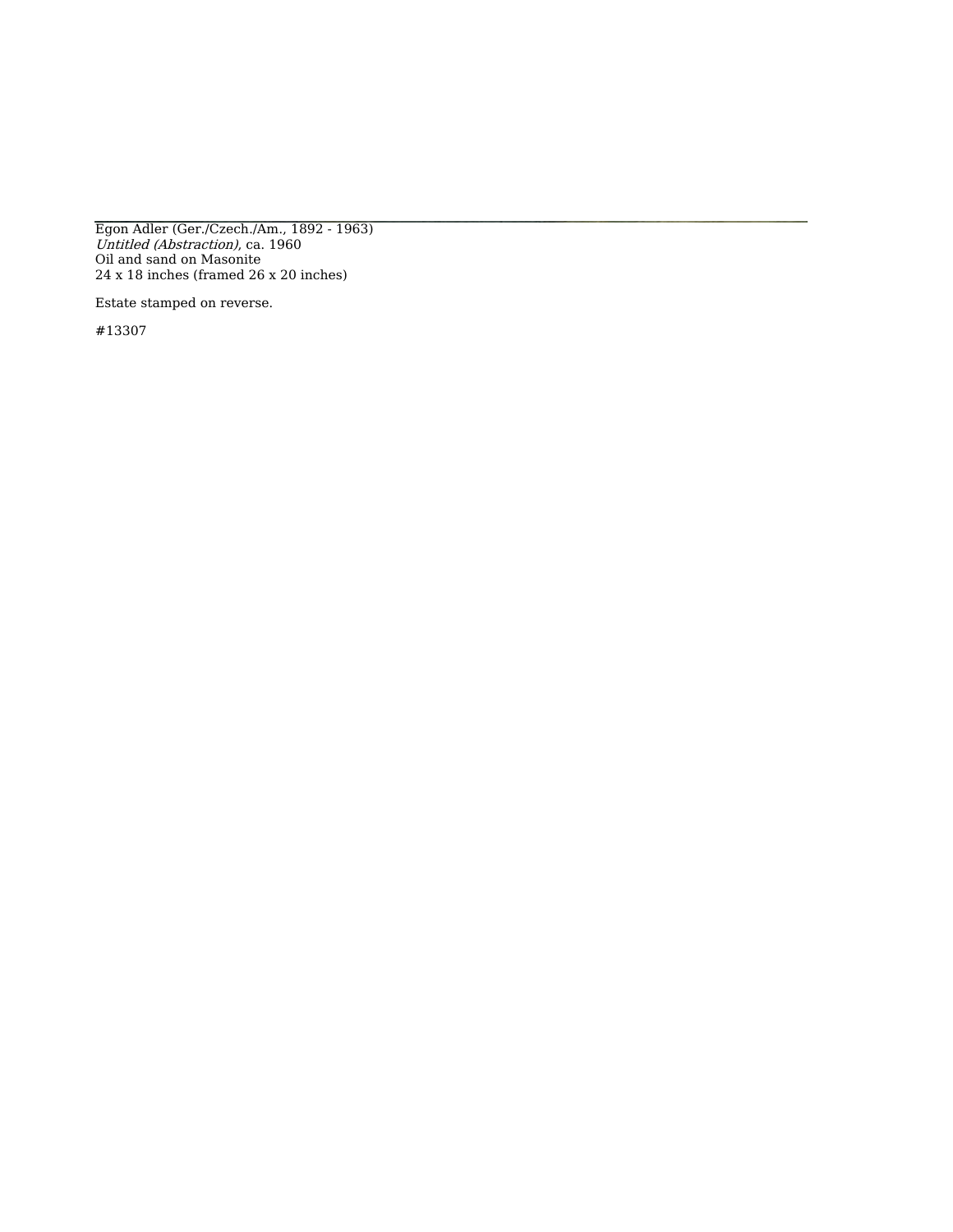Egon Adler (Ger./Czech./Am., 1892 - 1963) Untitled (Abstraction), ca. 1960 Oil and sand on Masonite 24 x 18 inches (framed 26 x 20 inches)

Estate stamped on reverse.

#13307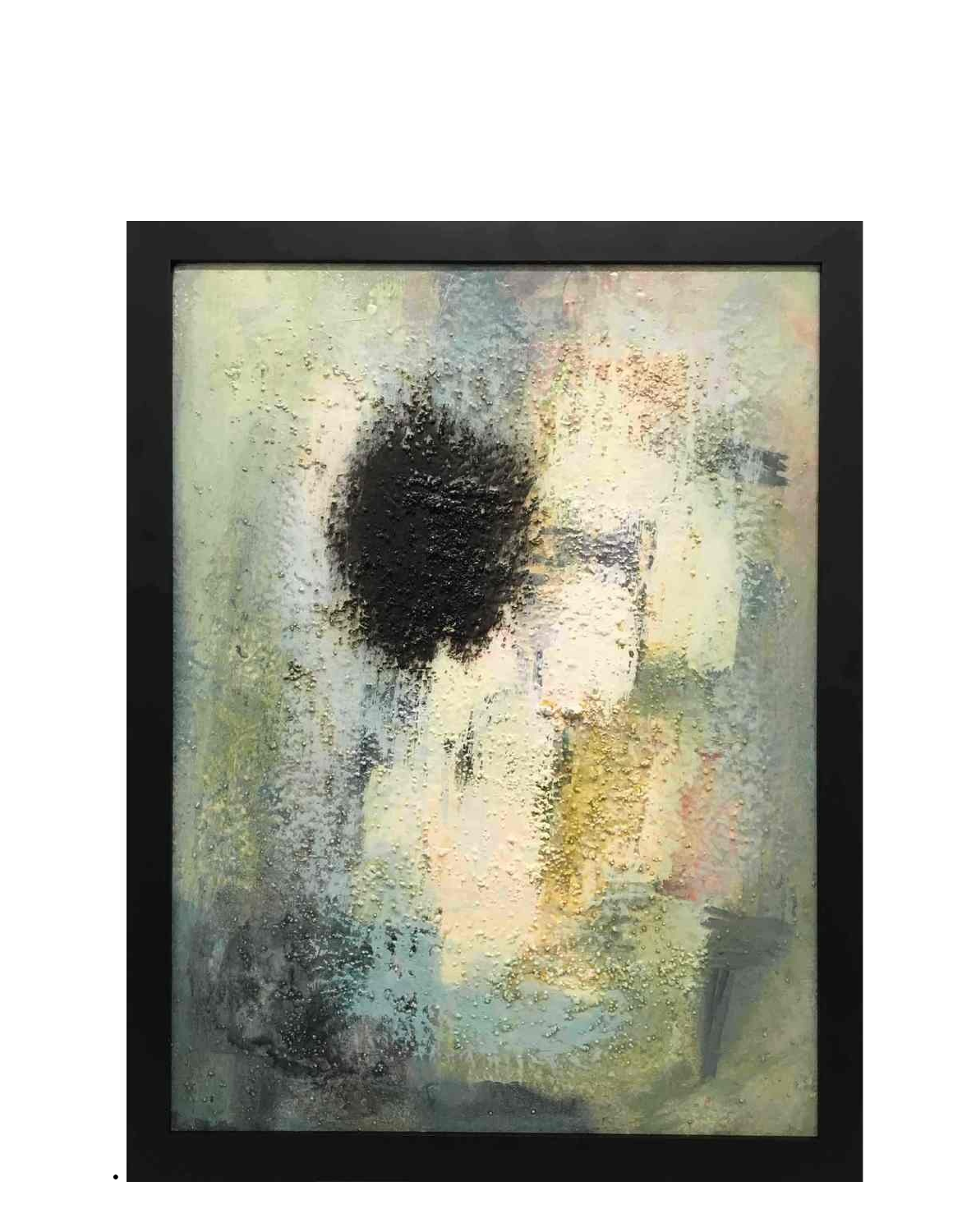